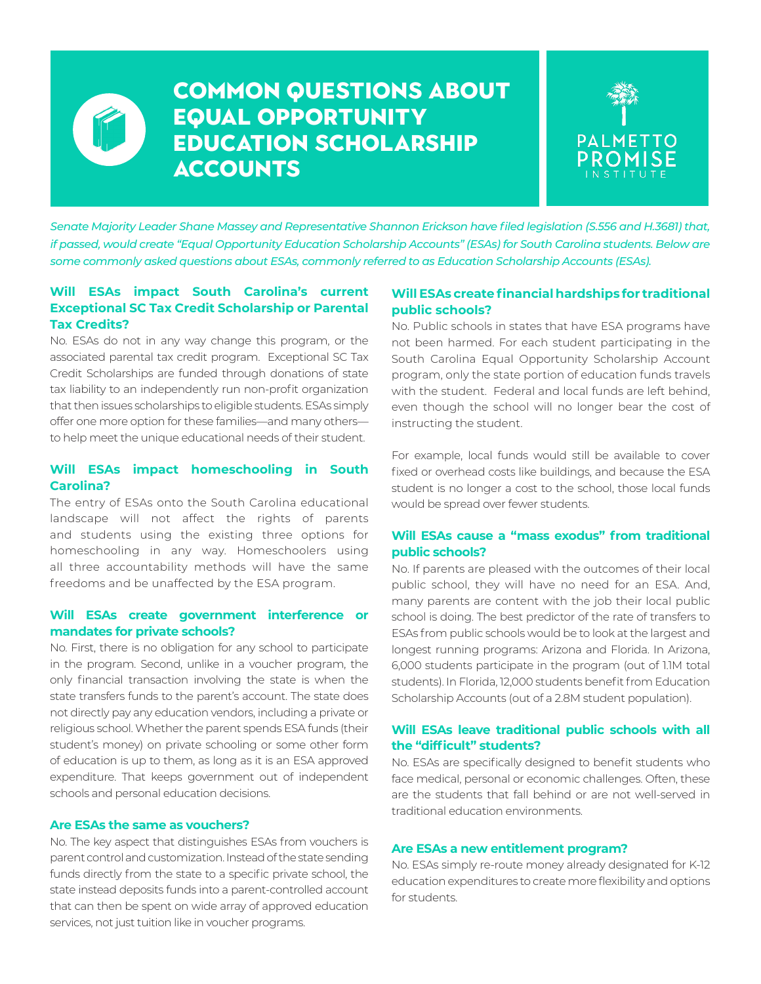

### Common Questions About Equal Opportunity Education Scholarship **ACCOUNTS**



*Senate Majority Leader Shane Massey and Representative Shannon Erickson have filed legislation (S.556 and H.3681) that, if passed, would create "Equal Opportunity Education Scholarship Accounts" (ESAs) for South Carolina students. Below are some commonly asked questions about ESAs, commonly referred to as Education Scholarship Accounts (ESAs).*

#### **Will ESAs impact South Carolina's current Exceptional SC Tax Credit Scholarship or Parental Tax Credits?**

No. ESAs do not in any way change this program, or the associated parental tax credit program. Exceptional SC Tax Credit Scholarships are funded through donations of state tax liability to an independently run non-profit organization that then issues scholarships to eligible students. ESAs simply offer one more option for these families—and many others to help meet the unique educational needs of their student.

#### **Will ESAs impact homeschooling in South Carolina?**

The entry of ESAs onto the South Carolina educational landscape will not affect the rights of parents and students using the existing three options for homeschooling in any way. Homeschoolers using all three accountability methods will have the same freedoms and be unaffected by the ESA program.

#### **Will ESAs create government interference or mandates for private schools?**

No. First, there is no obligation for any school to participate in the program. Second, unlike in a voucher program, the only financial transaction involving the state is when the state transfers funds to the parent's account. The state does not directly pay any education vendors, including a private or religious school. Whether the parent spends ESA funds (their student's money) on private schooling or some other form of education is up to them, as long as it is an ESA approved expenditure. That keeps government out of independent schools and personal education decisions.

#### **Are ESAs the same as vouchers?**

No. The key aspect that distinguishes ESAs from vouchers is parent control and customization. Instead of the state sending funds directly from the state to a specific private school, the state instead deposits funds into a parent-controlled account that can then be spent on wide array of approved education services, not just tuition like in voucher programs.

#### **Will ESAs create financial hardships for traditional public schools?**

No. Public schools in states that have ESA programs have not been harmed. For each student participating in the South Carolina Equal Opportunity Scholarship Account program, only the state portion of education funds travels with the student. Federal and local funds are left behind, even though the school will no longer bear the cost of instructing the student.

For example, local funds would still be available to cover fixed or overhead costs like buildings, and because the ESA student is no longer a cost to the school, those local funds would be spread over fewer students.

#### **Will ESAs cause a "mass exodus" from traditional public schools?**

No. If parents are pleased with the outcomes of their local public school, they will have no need for an ESA. And, many parents are content with the job their local public school is doing. The best predictor of the rate of transfers to ESAs from public schools would be to look at the largest and longest running programs: Arizona and Florida. In Arizona, 6,000 students participate in the program (out of 1.1M total students). In Florida, 12,000 students benefit from Education Scholarship Accounts (out of a 2.8M student population).

#### **Will ESAs leave traditional public schools with all the "difficult" students?**

No. ESAs are specifically designed to benefit students who face medical, personal or economic challenges. Often, these are the students that fall behind or are not well-served in traditional education environments.

#### **Are ESAs a new entitlement program?**

No. ESAs simply re-route money already designated for K-12 education expenditures to create more flexibility and options for students.